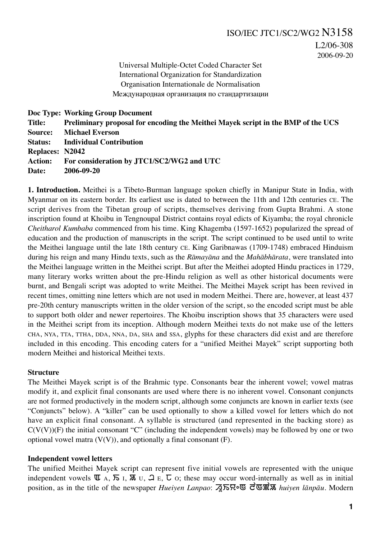Universal Multiple-Octet Coded Character Set International Organization for Standardization Organisation Internationale de Normalisation Международная организация по стандартизации

```
Doc Type: Working Group Document
Title: Preliminary proposal for encoding the Meithei Mayek script in the BMP of the UCS
Source: Michael Everson
Status: Individual Contribution
Replaces: N2042
Action: For consideration by JTC1/SC2/WG2 and UTC
Date: 2006-09-20
```
**1. Introduction.** Meithei is a Tibeto-Burman language spoken chiefly in Manipur State in India, with Myanmar on its eastern border. Its earliest use is dated to between the 11th and 12th centuries CE. The script derives from the Tibetan group of scripts, themselves deriving from Gupta Brahmi. A stone inscription found at Khoibu in Tengnoupal District contains royal edicts of Kiyamba; the royal chronicle *Cheitharol Kumbaba* commenced from his time. King Khagemba (1597-1652) popularized the spread of education and the production of manuscripts in the script. The script continued to be used until to write the Meithei language until the late 18th century CE. King Garibnawas (1709-1748) embraced Hinduism during his reign and many Hindu texts, such as the *Rāmayāna* and the *Mahābhārata*, were translated into the Meithei language written in the Meithei script. But after the Meithei adopted Hindu practices in 1729, many literary works written about the pre-Hindu religion as well as other historical documents were burnt, and Bengali script was adopted to write Meithei. The Meithei Mayek script has been revived in recent times, omitting nine letters which are not used in modern Meithei. There are, however, at least 437 pre-20th century manuscripts written in the older version of the script, so the encoded script must be able to support both older and newer repertoires. The Khoibu inscription shows that 35 characters were used in the Meithei script from its inception. Although modern Meithei texts do not make use of the letters CHA, NYA, TTA, TTHA, DDA, NNA, DA, SHA and SSA, glyphs for these characters did exist and are therefore included in this encoding. This encoding caters for a "unified Meithei Mayek" script supporting both modern Meithei and historical Meithei texts.

# **Structure**

The Meithei Mayek script is of the Brahmic type. Consonants bear the inherent vowel; vowel matras modify it, and explicit final consonants are used where there is no inherent vowel. Consonant conjuncts are not formed productively in the modern script, although some conjuncts are known in earlier texts (see "Conjuncts" below). A "killer" can be used optionally to show a killed vowel for letters which do not have an explicit final consonant. A syllable is structured (and represented in the backing store) as  $C(V(V))(F)$  the initial consonant "C" (including the independent vowels) may be followed by one or two optional vowel matra  $(V(V))$ , and optionally a final consonant  $(F)$ .

# **Independent vowel letters**

The unified Meithei Mayek script can represent five initial vowels are represented with the unique independent vowels  $\overline{u}$  A,  $\overline{b}$  I,  $\overline{a}$  U,  $\overline{d}$  E,  $\overline{b}$  O; these may occur word-internally as well as in initial position, as in the title of the newspaper *Hueiyen Lanpao*: 刁dnown **derm** *huiyen lānpāu*. Modern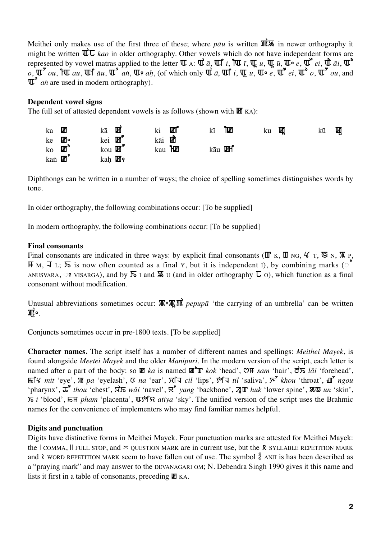Meithei only makes use of the first three of these; where  $p\bar{a}u$  is written  $\mathbb{R}\times\$  in newer orthography it might be written  $\vec{w} \overline{\mathbf{C}}$  *kao* in older orthography. Other vowels which do not have independent forms are represented by vowel matras applied to the letter  $\Psi$  A:  $\Psi$   $\bar{a}$ ,  $\Psi$   $i$ ,  $\Psi$   $\bar{u}$ ,  $\Psi$   $\bar{u}$ ,  $\Psi$   $\bar{u}$ ,  $\bar{u}$ ,  $\Psi$   $\bar{u}$ ,  $\Psi$   $\bar{u}$  $o, \overline{\mathbf{u}}^{\bullet}$  *ou*,  $\overline{\mathbf{u}}$  *au*,  $\overline{\mathbf{u}}^{\mathbf{f}}$  *au*,  $\overline{\mathbf{u}}^{\bullet}$  *an*<sub>*i*</sub>,  $\overline{\mathbf{u}}$ <sub>8</sub> *ah*, (of which only  $\overline{\mathbf{u}}$  *a*,  $\overline{\mathbf{u}}$  *a*,  $\overline{\mathbf{u}}$  **c**  $\overline{\mathbf{u}}$ ,  $\overline{\mathbf{u}}^{\bullet}$  *ei*,  $\overline{\math$ Ä≥ *an˙* are used in modern orthography).

# **Dependent vowel signs**

The full set of attested dependent vowels is as follows (shown with  $\mathbf{W}$  KA):

| ka                         | 硱  | kā                 | Ш    | ki            | Ш | kī               | ™ | ku | Щ | kū | Щ |
|----------------------------|----|--------------------|------|---------------|---|------------------|---|----|---|----|---|
| ke                         | ە⊞ | kei                | ຺៲ທັ | kāi           | 啲 |                  |   |    |   |    |   |
| $\rm{ko}$ $\rm I\!\!\!R^o$ |    | kou $\mathbb{H}^3$ |      | kau <b>HE</b> |   | kāu <b>III</b> f |   |    |   |    |   |
| kan <b>Polen</b>           |    | kah <b>II</b> I    |      |               |   |                  |   |    |   |    |   |

Diphthongs can be written in a number of ways; the choice of spelling sometimes distinguishes words by tone.

In older orthography, the following combinations occur: [To be supplied]

In modern orthography, the following combinations occur: [To be supplied]

# **Final consonants**

Final consonants are indicated in three ways: by explicit final consonants ( $\mathbb{I}$  K,  $\mathbb{I}$  NG,  $\mathcal{L}$  T,  $\mathbb{I}$  K,  $\mathbb{I}$  R,  $\overline{H}$  M,  $\overline{J}$  L;  $\overline{D}$  is now often counted as a final Y, but it is independent I), by combining marks ( $\circ$ ANUSVARA,  $\odot$  P VISARGA), and by  $\overline{D}$  I and  $\overline{R}$  U (and in older orthography  $\overline{L}$  O), which function as a final consonant without modification.

Unusual abbreviations sometimes occur:  $\mathbb{R}$  o $\mathbb{R}$ **W** *pepupa* 'the carrying of an umbrella' can be written ô™ß¨.

Conjuncts sometimes occur in pre-1800 texts. [To be supplied]

**Character names.** The script itself has a number of different names and spellings: *Meithei Mayek*, is found alongside *Meetei Mayek* and the older *Manipuri*. In the modern version of the script, each letter is named after a part of the body: so  $\mathbb{M}$  *ka* is named  $\mathbb{M}^{\infty}$ <sup>n</sup> *kok* 'head', ♡ *F sam* 'hair',  $\vec{c}$  *s lāi* 'forehead', ù®π *mit* 'eye', ô *pa* 'eyelash', ò *na* 'ear', ä®Ω *cil* 'lips', î®Ω *til* 'saliva', Ü∞ *khou* 'throat', â∞ *ngou* 'pharynx',  $\vec{\mu}^*$  *thou* 'chest',  $\vec{\mu}$  *\zequista waj* 'navel',  $\vec{\mu}^*$  *vang* 'backbone',  $\vec{\lambda}$  **W** *huk* 'lower spine',  $\vec{\mu}$  **w** and 'skin',  $\overline{S}$  *i* 'blood',  $\overline{E}$  **F** *pham* 'placenta',  $\overline{W}$ <sup>6</sup>ξ *ativa* 'sky'. The unified version of the script uses the Brahmic names for the convenience of implementers who may find familiar names helpful.

# **Digits and punctuation**

Digits have distinctive forms in Meithei Mayek. Four punctuation marks are attested for Meithei Mayek: the  $\vert$  COMMA,  $\vert$  FULL STOP, and  $\leq$  QUESTION MARK are in current use, but the  $\lambda$  SYLLABLE REPETITION MARK and  $\lambda$  WORD REPETITION MARK seem to have fallen out of use. The symbol  $\check{z}$  ANJI is has been described as a "praying mark" and may answer to the DEVANAGARI OM; N. Debendra Singh 1990 gives it this name and lists it first in a table of consonants, preceding  $\mathbb{Z}$  KA.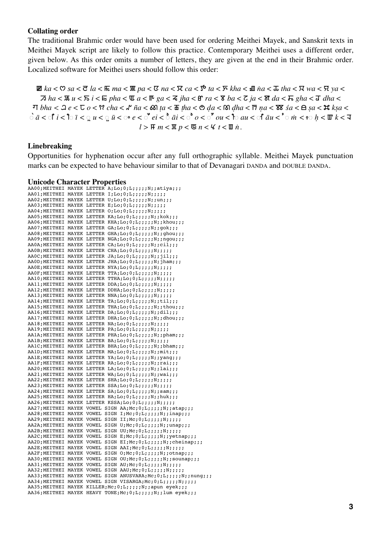#### **Collating order**

The traditional Brahmic order would have been used for ordering Meithei Mayek, and Sanskrit texts in Meithei Mayek script are likely to follow this practice. Contemporary Meithei uses a different order, given below. As this order omits a number of letters, they are given at the end in their Brahmic order. Localized software for Meithei users should follow this order:

 $\mathbb{E}$  ka <  $\heartsuit$  sa <  $\vec{c}$  la <  $\vec{c}$  ma <  $\mathbb{E}$  ma <  $\vec{c}$  ma <  $\vec{c}$  ma <  $\vec{c}$  a <  $\vec{c}$  a <  $\vec{c}$  a <  $\vec{c}$  a  $\vec{c}$  a <  $\vec{c}$  a  $\vec{c}$  a  $\vec{c}$  a  $\vec{c}$  a  $\vec{c}$  a  $\vec{c}$  a  $\vec{c}$  a  $\overline{\mathcal{A}}$  ha <  $\overline{\mathbb{R}}$  u <  $\overline{\mathbb{R}}$  i <  $\overline{\mathbb{E}}$  pha <  $\overline{\mathbb{U}}$  a <  $\overline{\mathbb{E}}$  ga <  $\overline{\mathbb{E}}$  jha <  $\overline{\mathbb{E}}$  fha <  $\overline{\mathbb{E}}$  ga <  $\overline{\mathbb{E}}$  ga  $\overline{\mathbb{E}}$  ga  $\overline{\mathbb{E}}$  gha <  $\overline{\mathbb{E}}$  gha <  $\$  $\exists$  bha <  $\exists$  e <  $\forall$  o <  $\forall$  cha <  $\forall$  ña <  $\&$  ta <  $\exists$  tha <  $\Diamond$  da <  $\Diamond$  dha <  $\exists$  na <  $\forall$  sa <  $\exists$  sa <  $\forall$  ksa <  $\stackrel{\frown}{a} < \stackrel{\frown}{a} i < \stackrel{\frown}{b} i < \stackrel{\frown}{a} u < \stackrel{\frown}{a} u < \stackrel{\frown}{a} e < \stackrel{\frown}{c} e i < \stackrel{\frown}{c} a i < \stackrel{\frown}{c} o < \stackrel{\frown}{c} ou < \stackrel{\frown}{b} au < \stackrel{\frown}{c} a u < \stackrel{\frown}{c} m < \stackrel{\frown}{c} h < \stackrel{\frown}{w} k < \overline{a} u$  $l >$   $\mathbb{F}$   $m <$   $\mathbb{F}$   $p <$   $\mathbb{C}$   $n <$   $\mathbb{K}$   $t <$   $\mathbb{F}$   $n$ .

#### **Linebreaking**

Opportunities for hyphenation occur after any full orthographic syllable. Meithei Mayek punctuation marks can be expected to have behaviour similar to that of Devanagari DANDA and DOUBLE DANDA.

#### **Hnicode Character Properties**

| Chrone Character 110perues |  |                                                                    |
|----------------------------|--|--------------------------------------------------------------------|
|                            |  | AA00; MEITHEI MAYEK LETTER A; Lo; 0; L;;;;;;N;;atiya;;;            |
|                            |  | AA01; MEITHEI MAYEK LETTER I; Lo; 0; L;;;;;; N;;;;;                |
|                            |  | AA02; MEITHEI MAYEK LETTER U; Lo; 0; L;;;;;;;,,v;;un;;;            |
|                            |  | AA03; MEITHEI MAYEK LETTER E; Lo; 0; L;;;;;;N;;;;;                 |
|                            |  | AA04; MEITHEI MAYEK LETTER O; Lo; 0; L;;;;;; N;;;;;                |
|                            |  | AA05; MEITHEI MAYEK LETTER KA; Lo; 0; L;;;;;;N;;kok;;;             |
|                            |  | AA06; MEITHEI MAYEK LETTER KHA; Lo; 0; L; ;;;;; N; ; khou;;;       |
|                            |  | AA07; MEITHEI MAYEK LETTER GA; Lo; 0; L;;;;;;N;;gok;;;             |
|                            |  | AA08; MEITHEI MAYEK LETTER GHA; Lo; 0; L;;;;;; N; ; ghou;;;        |
|                            |  | AA09; MEITHEI MAYEK LETTER NGA; Lo; 0; L; ;;;;; N; ; ngou;;;       |
|                            |  | AA0A; MEITHEI MAYEK LETTER CA; Lo; 0; L;;;;;; N;;cil;;;            |
|                            |  | AA0B; MEITHEI MAYEK LETTER CHA; Lo; 0; L; ;;;; ; N; ;;;;           |
|                            |  | AAOC; MEITHEI MAYEK LETTER JA; Lo; 0; L;;;;;;N;;jil;;;             |
|                            |  | AAOD; MEITHEI MAYEK LETTER JHA; Lo; 0; L;;;;;; N; jham;;;          |
|                            |  | AAOE; MEITHEI MAYEK LETTER NYA; Lo; 0; L;;;;;; N;;;;;              |
|                            |  | AAOF; MEITHEI MAYEK LETTER TTA; Lo; 0; L; ;;;; ; N; ;;;;           |
|                            |  | AA10; MEITHEI MAYEK LETTER TTHA; Lo; 0; L;;;;;;N;;;;;              |
|                            |  | AA11; MEITHEI MAYEK LETTER DDA; Lo; 0; L;;;;;;N;;;;;               |
|                            |  | AA12; MEITHEI MAYEK LETTER DDHA; Lo; 0; L;;;;;; N;;;;;             |
|                            |  | AA13; MEITHEI MAYEK LETTER NNA; Lo; 0; L;;;;;;N;;;;;               |
|                            |  | AA14; MEITHEI MAYEK LETTER TA; Lo; 0; L;;;;;; N;;til;;;            |
|                            |  | AA15; MEITHEI MAYEK LETTER THA; Lo; 0; L;;;;;;N;;thou;;;           |
|                            |  | AA16; MEITHEI MAYEK LETTER DA; Lo; 0; L;;;;;; N;;dil;;;            |
|                            |  | AA17; MEITHEI MAYEK LETTER DHA; Lo; 0; L; ;;;;; N; ; dhou;;;       |
|                            |  | AA18; MEITHEI MAYEK LETTER NA; Lo; 0; L;;;;;; N;;;;;               |
|                            |  | AA19; MEITHEI MAYEK LETTER PA; Lo; 0; L;;;;;; N;;;;;               |
|                            |  | AA1A; MEITHEI MAYEK LETTER PHA; Lo; 0; L;;;;;;N;;pham;;;           |
|                            |  |                                                                    |
|                            |  | AA1C; MEITHEI MAYEK LETTER BHA; Lo; 0; L;;;;;;N;;bham;;;           |
|                            |  | AA1D; MEITHEI MAYEK LETTER MA; Lo; 0; L;;;;;;N;;mit;;;             |
|                            |  | AA1E; MEITHEI MAYEK LETTER YA; Lo; 0; L;;;;;; N;; yang;;;          |
|                            |  | AA1F; MEITHEI MAYEK LETTER RA; Lo; 0; L;;;;;; N;;rai;;;            |
|                            |  | AA20; MEITHEI MAYEK LETTER LA; Lo; 0; L;;;;;; N;;lai;;;            |
|                            |  | AA21; MEITHEI MAYEK LETTER WA; Lo; 0; L; ;;;;; N; ; wai;;;         |
|                            |  | AA22; MEITHEI MAYEK LETTER SHA; Lo; 0; L;;;;;;N;;;;;               |
|                            |  | AA23; MEITHEI MAYEK LETTER SSA; Lo; 0; L; ;;;; ; N; ;;;;           |
|                            |  | AA24; MEITHEI MAYEK LETTER SA; Lo; 0; L;;;;;; N; ; sam;;;          |
|                            |  | AA25; MEITHEI MAYEK LETTER HA; Lo; 0; L;;;;;; N;; huk;;;           |
|                            |  | AA26; MEITHEI MAYEK LETTER KSSA; Lo; 0; L;;;;;; N;;;;;             |
|                            |  | AA27; MEITHEI MAYEK VOWEL SIGN AA; Mc; 0; L;;;;;;N;;atap;;;        |
|                            |  | AA28; MEITHEI MAYEK VOWEL SIGN I; Mc; 0; L;;;;;; N;;inap;;;        |
|                            |  | AA29; MEITHEI MAYEK VOWEL SIGN II; Mc; 0; L;;;;;; N;;;;;           |
|                            |  | AA2A; MEITHEI MAYEK VOWEL SIGN U; Mc; 0; L;;;;;;N;;unap;;;         |
|                            |  | AA2B; MEITHEI MAYEK VOWEL SIGN UU; Mc; 0; L;;;;;;N;;;;;            |
|                            |  | AA2C; MEITHEI MAYEK VOWEL SIGN E; Mc; 0; L; ;;;;; N; ; yetnap;;;   |
|                            |  | AA2D; MEITHEI MAYEK VOWEL SIGN EI; Mc; 0; L;;;;;; N; ; cheinap;;;  |
|                            |  | AA2E; MEITHEI MAYEK VOWEL SIGN AAI; Mc; 0; L;;;;;;N;;;;;           |
|                            |  | AA2F; MEITHEI MAYEK VOWEL SIGN 0; Mc; 0; L; ;;;;;N; ; otnap;;;     |
|                            |  | AA30; MEITHEI MAYEK VOWEL SIGN OU; Mc; 0; L;;;;;;N;;sounap;;;      |
|                            |  | AA31; MEITHEI MAYEK VOWEL SIGN AU; Mc; 0; L;;;;;;N;;;;;            |
|                            |  | AA32; MEITHEI MAYEK VOWEL SIGN AAU; Mc; 0; L;;;;;; N;;;;;          |
|                            |  | AA33; MEITHEI MAYEK VOWEL SIGN ANUSVARA; Mc; 0; L;;;;;; N;;nung;;; |
|                            |  | AA34; MEITHEI MAYEK VOWEL SIGN VISARGA; Mc; 0; L;;;;;; N;;;;;      |
|                            |  | AA35; MEITHEI MAYEK KILLER; Mc; 0; L;;;;;; N;; apun eyek;;;        |
|                            |  | AA36; MEITHEI MAYEK HEAVY TONE; Mc; 0; L;;;;;;N;;lum eyek;;;       |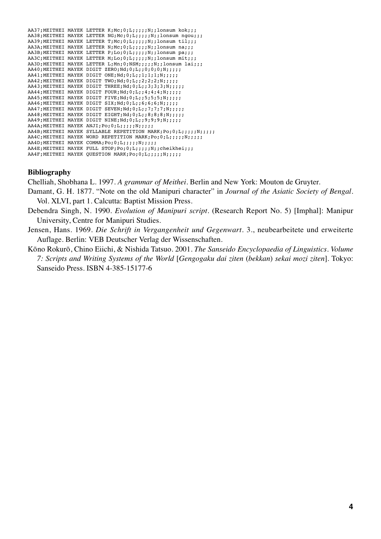|  | AA37; MEITHEI MAYEK LETTER K; Mc; 0; L; ;;;;; N; ; lonsum kok;;;   |
|--|--------------------------------------------------------------------|
|  | AA38; MEITHEI MAYEK LETTER NG; Mc; 0; L;;;;;; N; ; lonsum ngou;;;  |
|  | AA39; MEITHEI MAYEK LETTER T; Mc; 0; L; ;;;;; N; ; lonsum til;;;   |
|  | AA3A; MEITHEI MAYEK LETTER N; Mc; 0; L;;;;;; N; ; lonsum na;;;     |
|  | AA3B: MEITHEI MAYEK LETTER P; Lo; 0; L;;;;;; N;; lonsum pa;;;      |
|  | AA3C; MEITHEI MAYEK LETTER M; Lo; 0; L;;;;;; N;; lonsum mit;;;     |
|  | AA3D; MEITHEI MAYEK LETTER L; Mn; 0; NSM; ;;;; N; ; lonsum lai;;;  |
|  | AA40; MEITHEI MAYEK DIGIT ZERO; Nd; 0; L; ; 0; 0; 0; N; ; ; ; ;    |
|  | AA41; MEITHEI MAYEK DIGIT ONE; Nd; 0; L; ; 1; 1; 1; N; ; ; ; ;     |
|  | AA42; MEITHEI MAYEK DIGIT TWO; Nd; 0; L; ; 2; 2; 2; N; ; ; ; ;     |
|  | AA43; MEITHEI MAYEK DIGIT THREE; Nd; 0; L;; 3; 3; 3; N;;;;;;       |
|  | AA44; MEITHEI MAYEK DIGIT FOUR; Nd; 0; L; ; 4; 4; 4; N; ; ; ; ;    |
|  | AA45; MEITHEI MAYEK DIGIT FIVE; Nd; 0; L; ; 5; 5; 5; N; ; ; ; ;    |
|  | AA46; MEITHEI MAYEK DIGIT SIX; Nd; 0; L; ; 6; 6; 6; N; ; ; ; ;     |
|  | AA47: MEITHEI MAYEK DIGIT SEVEN; Nd; 0; L; ; 7; 7; 7; N; ; ; ; ;   |
|  | AA48; MEITHEI MAYEK DIGIT EIGHT; Nd; 0; L; ; 8; 8; 8; N; ; ; ; ;   |
|  | AA49; MEITHEI MAYEK DIGIT NINE; Nd; 0; L; ; 9; 9; 9; N; ; ; ; ;    |
|  | AA4A; MEITHEI MAYEK ANJI; Po; 0; L;;;;;; N;;;;;                    |
|  | AA4B; MEITHEI MAYEK SYLLABLE REPETITION MARK; Po; 0; L;;;;; N;;;;; |
|  | AA4C; MEITHEI MAYEK WORD REPETITION MARK; Po; 0; L;;;;; N;;;;;     |
|  | AA4D; MEITHEI MAYEK COMMA; Po; 0; L;;;;;; N;;;;;                   |
|  | AA4E; MEITHEI MAYEK FULL STOP; Po; 0; L;;;;;; N; ; cheikhei;;;     |
|  | AA4F; MEITHEI MAYEK QUESTION MARK; Po; 0; L;;;;;; N;;;;;           |

#### **Bibliography**

Chelliah, Shobhana L. 1997. *A grammar of Meithei*. Berlin and New York: Mouton de Gruyter.

- Damant, G. H. 1877. "Note on the old Manipuri character" in *Journal of the Asiatic Society of Bengal*. Vol. XLVI, part 1. Calcutta: Baptist Mission Press.
- Debendra Singh, N. 1990. *Evolution of Manipuri script*. (Research Report No. 5) [Imphal]: Manipur University, Centre for Manipuri Studies.
- Jensen, Hans. 1969. *Die Schrift in Vergangenheit und Gegenwart*. 3., neubearbeitete und erweiterte Auflage. Berlin: VEB Deutscher Verlag der Wissenschaften.
- Kōno Rokurō, Chino Eiichi, & Nishida Tatsuo. 2001. *The Sanseido Encyclopaedia of Linguistics. Volume 7: Scripts and Writing Systems of the World* [*Gengogaku dai ziten* (*bekkan*) *sekai mozi ziten*]. Tokyo: Sanseido Press. ISBN 4-385-15177-6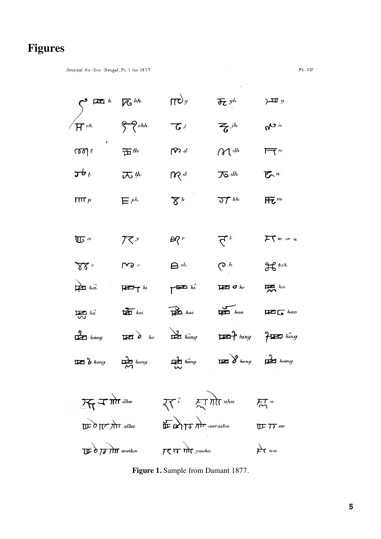# **Figures**

 $\sim$   $\omega$ 

Journal As: Soc: Bengal, Pt: I. for 1877.

| Part $k$ | For $kb$ | For $kb$ | For $kb$ | For $kb$ | For $kb$ | For $kb$ | For $kb$ | For $kb$ | For $kb$ | For $kb$ | For $kb$ | For $kb$ | For $kb$ | For $kb$ | For $kb$ | For $kb$ | For $kb$ | For $kb$ | For $kb$ | For $kb$ | For $kb$ | For $kb$ | For $kb$ | For $kb$ | For $kb$ | For $kb$ | For $kb$ | For $kb$ | For $kb$ | For $kb$ | For $kb$ | For $kb$ | For $kb$ | For $kb$ | For $kb$ | For $kb$ | For $kb$ | For $kb$ | For $kb$ | For $kb$ | For $kb$ | For $kb$ | For $kb$ | For $kb$ | For $kb$ | For $kb$ | For $kb$ | For $kb$ | For $kb$ | For $kb$ | For $kb$ | For $kb$ | For $kb$ | For $kb$ | For $kb$ | For $kb$ | For $kb$ | For |
|----------|----------|----------|----------|----------|----------|----------|----------|----------|----------|----------|----------|----------|----------|----------|----------|----------|----------|----------|----------|----------|----------|----------|----------|----------|----------|----------|----------|----------|----------|----------|----------|----------|----------|----------|----------|----------|----------|----------|----------|----------|----------|----------|----------|----------|----------|----------|----------|----------|----------|----------|----------|----------|----------|----------|----------|----------|----------|-----|
|----------|----------|----------|----------|----------|----------|----------|----------|----------|----------|----------|----------|----------|----------|----------|----------|----------|----------|----------|----------|----------|----------|----------|----------|----------|----------|----------|----------|----------|----------|----------|----------|----------|----------|----------|----------|----------|----------|----------|----------|----------|----------|----------|----------|----------|----------|----------|----------|----------|----------|----------|----------|----------|----------|----------|----------|----------|----------|-----|

**Figure 1.** Sample from Damant 1877.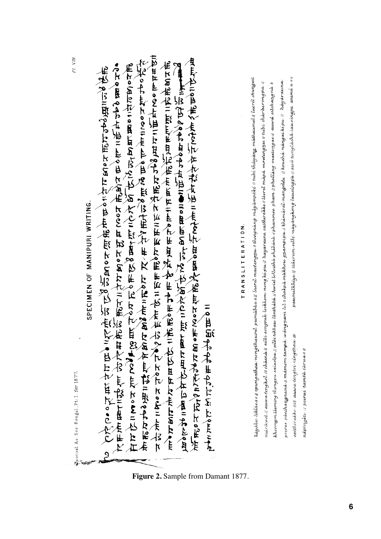$PLVIII.$ 

pornal As: Soc. Bengal, Pt: I. for 1877.

The the organization of the the control of the control of the control of the control of the control of the control of the control of the control of the control of the control of the control of the control of the control o "人民的产生的产生的食物的食物的食物,人民的食物的食物。" 在石切三名。长春万万年的日本的复数三个长酒,积分尼古里具自己我后生的世界世界的一个年轻的书籍与书籍的事实在更多有一次,并认知的民族的民族的 SPECIMEN OF MANIPURI WRITING. 三、三、三、三、七、十七、十四、七、七、十

# TRANSLITERATION.

hayəlve iklissa o fi ipungatlan nongthaurel pumissa o fi laerel maxtengran birangnang mayampati // tubi thiqjang mathaumal f laerel chungsel paarmelkhäye // itacreme selbi magangkong lausingpa // awa tungiacha lau singpa-anima a o // pocrac pocchangnana M mamam tampa wangnam lol Ndakpa makhou gnampipu Mihamana nanggalda Mkoucha nangaiki pu Mhayarauna márótaol (t **asava tengkol (t chàenà li selv sengsuk locklom nong ki pu // hayaranna satthirakke // laerel màetengnu // tulbi chàràerongpa //** khoonym lieming thengpu saiwalpa Meetbickhaw lanthise Maviel Whithis phistoir Mphammee pham Mphalling maeterigae Mauwa seleharigna M saithirakke non auwa tengtoi ningthau # nápingátu i/ poerai tamtá táruao !

**Figure 2.** Sample from Damant 1877.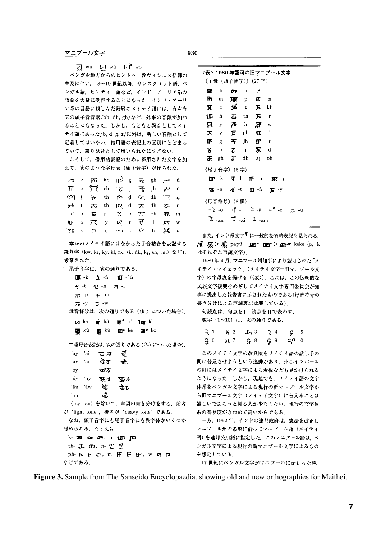$\nabla$  wú  $\nabla \cdot$  wù  $\nabla \cdot$  wo

ベンガル地方からのヒンドゥー教ヴィシュヌ信仰の 普及に伴い、18~19世紀以降、サンスクリット語、ベ ンガル語、ヒンディー語など、インド・アーリア系の 語彙を大量に受容することになった、インド・アーリ ア系の言語に親しんだ階層のメイテイ語には、有声有 気の頭子音音素/bh. dh. gh/など、外来の音韻が加わ ることにもなった。しかし、もともと異音としてメイ テイ語にあった/b, d, g, z/以外は、新しい音韻として 定着してはいない。借用語の表記上の区別にとどまっ ていて、綴り発音として用いられたにすぎない。

こうして、借用語表記のために採用された文字を加 えて、次のような字母表 (頭子音字) が作られた.

|  | $\overline{p}$ and $k$ $\overline{p}$ $\overline{q}$ $k$ $\overline{n}$ $\overline{p}$ $\overline{p}$ $\overline{p}$ $\overline{p}$ $\overline{p}$ $\overline{p}$ $\overline{p}$ $\overline{p}$ $\overline{p}$ $\overline{p}$ $\overline{p}$ $\overline{p}$ $\overline{p}$ $\overline{p}$ $\overline{p}$ $\overline{p}$ $\overline{p}$ $\overline{p}$ $\overline{p}$ $\over$ |  |  |  |  |
|--|------------------------------------------------------------------------------------------------------------------------------------------------------------------------------------------------------------------------------------------------------------------------------------------------------------------------------------------------------------------------------|--|--|--|--|
|  | $H \circ \overset{\circ}{\circ} \overset{\circ}{\circ}$ ch $\tau$ j $\overset{\circ}{\circ}$ jh $\mathfrak{g}$ <sup>v</sup> ñ                                                                                                                                                                                                                                                |  |  |  |  |
|  | (00) t 五 th p d p d d th 戸 n                                                                                                                                                                                                                                                                                                                                                 |  |  |  |  |
|  | t み th n d あ dh み n                                                                                                                                                                                                                                                                                                                                                          |  |  |  |  |
|  | $\pi$ p $E$ ph $X$ b $\pi$ bh $E$ m                                                                                                                                                                                                                                                                                                                                          |  |  |  |  |
|  | Usa 7 (y og r (d ) $p$ w                                                                                                                                                                                                                                                                                                                                                     |  |  |  |  |
|  | YY SESMS Ch H ks                                                                                                                                                                                                                                                                                                                                                             |  |  |  |  |

本来のメイテイ語にはなかった子音結合を表記する 綴り字〈kw, kr, ky, kl, rk, sk, nk, kr, sn, tm〉なども 考案された.

```
尾子音字は、次の通りである.
```

```
\overline{\mathbf{u}}\overline{\mathbf{x}} -k \mathbf{u} -n' \overline{\mathbf{u}} -n'
```

```
4 -t 4 -n 2 -l
```

```
\overline{\mathfrak{m}} -p \overline{\mathfrak{m}} -m
```

```
73 - y 5 - w
```
母音符号は、次の通りである(〈k-〉についた場合).

|  |  |  | pagrka pàgrkâ pagi∱kí †magrkì                               |
|--|--|--|-------------------------------------------------------------|
|  |  |  | <b>pan</b> kú <b>pan</b> kù <b>pan,∘</b> ke <b>pan,∘</b> ko |

二重母音表記は、次の通りである(〈'-〉についた場合).

| 'ay    | 'ai | 亚万                                                                | र्च.         |  |  |
|--------|-----|-------------------------------------------------------------------|--------------|--|--|
|        |     | $i$ ay 'ai $\vec{u}$                                              | $\mathbf{d}$ |  |  |
| "oy    |     | ঊঠ                                                                |              |  |  |
|        |     | 'úy 'ùy <b>γυς 25 τυς 2</b>                                       |              |  |  |
|        |     | 'âu 'âw $\mathbf{\hat{t}}$                                        | ष्टे ट       |  |  |
| 'au    |     | ર્જા.                                                             |              |  |  |
|        |     | 〈-oy, -au〉を除いて,声調の書き分けをする.前者                                      |              |  |  |
|        |     | が 'light tone', 後者が 'heavy tone' である.                             |              |  |  |
|        |     | なお,頭子音字にも尾子音字にも異字体がいくつか                                           |              |  |  |
|        |     | 認められる.たとえば.                                                       |              |  |  |
|        |     | k-1261 1281 1291, n-1 <u>000</u> poo                              |              |  |  |
|        |     | th- $\mathbf{L}$ $\mathbf{\omega}$ , n- $\mathbf{Z}$ $\mathbf{Z}$ |              |  |  |
|        |     | $ph$ բ $E \in$ , m $F$ $\overline{F}$ $B$ , w $\eta$ $\eta$       |              |  |  |
| などである. |     |                                                                   |              |  |  |

|                |              |                                                                                     |                                                 | 〈表〉1980 年認可の旧マニプール文字                                                                             |    |
|----------------|--------------|-------------------------------------------------------------------------------------|-------------------------------------------------|--------------------------------------------------------------------------------------------------|----|
|                |              | 《子母(頭子音字)》(27 字)                                                                    |                                                 |                                                                                                  |    |
| т              | $\mathbf{k}$ |                                                                                     | $\mathbf{m}$ s $\mathbf{r}$ i                   |                                                                                                  |    |
| $\mathbf{R}$ m |              |                                                                                     | $\overline{\text{M}}$ p $\overline{\text{C}}$ n |                                                                                                  |    |
|                |              | $\overline{X}$ c $\overline{Y}$ t $\overline{X}$ kh                                 |                                                 |                                                                                                  |    |
|                |              | $200$ n $\overline{d}$ th $\overline{J}$ r                                          |                                                 |                                                                                                  |    |
|                |              | $\overline{\mathbf{R}}$ y $\overline{\mathbf{A}}$ h $\overline{\mathbf{R}}$ w       |                                                 |                                                                                                  |    |
|                |              | $\overline{J}$ $y$ $\overline{E}$ $ph$ $\overline{w}$ '                             |                                                 |                                                                                                  |    |
|                |              | The $\pi$ in fr r                                                                   |                                                 |                                                                                                  |    |
|                |              | $8$ b $7$ j $\overline{3}$ d                                                        |                                                 |                                                                                                  |    |
|                |              | $\overline{d}$ and $\overline{d}$ and $\overline{d}$ bh                             |                                                 |                                                                                                  |    |
|                |              | 《尾子音字》(8 字)                                                                         |                                                 |                                                                                                  |    |
|                |              |                                                                                     |                                                 | $\mathbf{I} \mathbf{I}$ -k $\mathbf{I}$ -l $\mathbf{I} \mathbf{F}$ -m $\mathbf{I} \mathbf{K}$ -p |    |
|                |              |                                                                                     |                                                 | $\mathbf{V}$ -n $\mathcal{U}$ -t $\mathbf{H}$ -n $\mathbf{V}$ -y                                 |    |
|                |              | 《母音符号》(8 個)                                                                         |                                                 |                                                                                                  |    |
|                |              |                                                                                     |                                                 | $- \delta - 0$ $- \hat{r} - i$ $\geq - \hat{a}$ $- \circ - e$ $\approx \sim$                     | -u |
|                |              | $\mathfrak{P}_{\text{-au}}$ $\mathfrak{P}_{\text{-ai}}$ $\mathfrak{P}_{\text{-am}}$ |                                                 |                                                                                                  |    |

また、インド系文字▼に一般的な省略表記も見られる。  $\overline{m}$   $\overline{m}$   $>$  $\overline{m}$  papú,  $\overline{m}$   $\overline{m}$   $\overline{m}$   $>$  $\overline{m}$   $\sim$  keke (p, k はそれぞれ再読文字).

1980年4月、マニプール州知事により認可された「メ イテイ・マイェック」(メイテイ文字=旧マニプール文 字)の字母表を掲げる(〈表〉). これは、この伝統的な 民族文字復興をめざしてメイテイ文字専門委員会が知 事に提出した報告書に示されたものである(母音符号の 書き分けによる声調表記は廃している).

句読点は、句点を」,読点を||で表わす. 数字 (1~10) は、次の通りである.

|  |  | $51$ $62$ $53$ $24$ $65$ |  |  |
|--|--|--------------------------|--|--|
|  |  | $96$ $10$ $10$ $10$ $10$ |  |  |

このメイテイ文字の改良版をメイテイ語の話し手の 間に普及させようという運動があり、州都インパール の町にはメイテイ文字による看板なども見かけられる ようになった。しかし、現地でも、メイテイ語の文字 体系をベンガル文字による現行の新マニプール文字か ら旧マニプール文字(メイテイ文字)に替えることは 難しいであろうと見る人が少なくない。現行の文字体 系の普及度がきわめて高いからである。

一方, 1992年, インドの連邦政府は、憲法を改正し マニプール州の希望に沿ってマニプール語(メイテイ 語)を連邦公用語に指定した。このマニプール語は、ベ ンガル文字による現行の新マニプール文字によるもの を想定している.

17世紀にベンガル文字がマニプールに伝わった時、

**Figure 3.** Sample from The Sanseido Encyclopaedia, showing old and new orthographies for Meithei.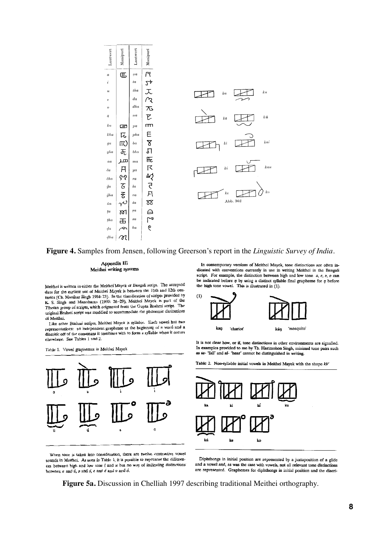

**Figure 4.** Samples from Jensen, following Greerson's report in the *Linguistic Survey of India*.

Appendix III Meithei writing systems

Meithei is written in either the Meithei Mayek or Bengali script. The accepted date for the earliest use of Meithei Mayek is between the 11th and 12th centuries (Ch. Manihar Singh 1984: 23). In the classification of scripts provided by K. S. Singh and Manoharan (1993: 26-29), Meithei Mayek is part of the K. S. Singh and Manonaran (1995). 20-29, Metric Higgs a Frahmi script. The<br>Tibetan group of scripts, which originated from the Gupta Brahmi script. The original Brahmi script was modified to accommodate the phonemic distinctions of Meithei.

Like other Brahmi scripts, Meithei Mayek is syllabic. Each vowel has two Like other Branim scripts, McLuter Mayor is synaptic. Each very drawf and a<br>representations: an independent grapheme at the beginning of a word and a diacritic off of the consonant it combines with to form a syllable when it occurs elsewhere. See Tables 1 and 2.

Table 1. Vowel graphemes in Meithei Mayek



When tone is taken into consideration, there are twelve contrastive vowel sounds in Meithei. As seen in Table 1, it is possible to represent the differences between high and low tone  $i$  and  $u$  but no way of indicating distinctions between  $a$  and  $\acute{a}$ ,  $a$  and  $\acute{a}$ ,  $e$  and  $\acute{e}$  and  $o$  and  $\acute{o}$ .

In contemporary versions of Meithei Mayek, tone distinctions are often indicated with conventions currently in use in writing Meithei in the Bengali script. For example, the distinction between high and low tone  $a, e, a, o$  can be indicated before  $\eta$  by using a distinct syllable final grapheme for  $\eta$  before the high tone vowel. This is illustrated in (1).



It is not clear how, or if, tone distinctions in other environments are signalled. In examples provided to me by Th. Harimohon Singh, minimal tone pairs such as  $ta$ - 'fall' and  $ta$ - 'hear' cannot be distinguished in writing.

Table 2. Non-syllable initial vowels in Meithei Mayek with the shape  $kV$ 



Diphthongs in initial position are represented by a juxtaposition of a glide and a vowel and, as was the case with vowels, not all relevant tone distinctions are represented. Graphemes for diphthongs in initial position and the diacri-

**Figure 5a.** Discussion in Chelliah 1997 describing traditional Meithei orthography.

**8**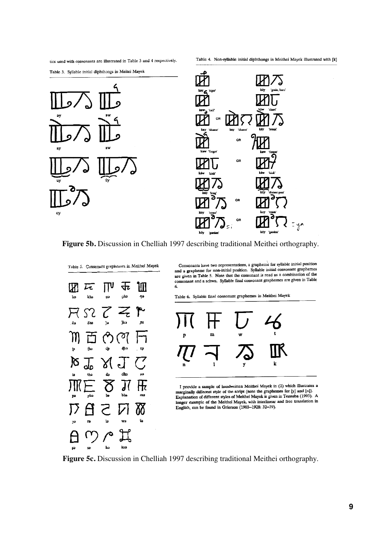tics used with consonants are illustrated in Table 3 and 4 respectively.

Table 4. Non-syllable initial diphthongs in Meithei Mayek illustrated with [k]

Table 3. Syllable initial diphthongs in Meitei Mayek





**Figure 5b.** Discussion in Chelliah 1997 describing traditional Meithei orthography.



Consonants have two representations, a grapheme for syllable initial position Consonants have two representations, a graphent tot synable minim position<br>and a grapheme for non-initial position. Syllable initial consonant graphemes<br>are given in Table 5. Note that the consonant is read as a combinatio consonant and a schwa. Syllable final consonant graphemes are given in Table 6.

Table 6. Syllable final consonant graphemes in Meithei Mayek



I provide a sample of handwritten Meithei Mayek in (2) which illustrates a marginally different style of the script (note the graphemes for [y] and [n]). Explanation of different styles of Meithei Mayek is given in Tensuba (1993). A longer example of the Meithei Mayek, with interlinear and free translation in English, can be found in Grierson (1903-1928: 32-39).

**Figure 5c.** Discussion in Chelliah 1997 describing traditional Meithei orthography.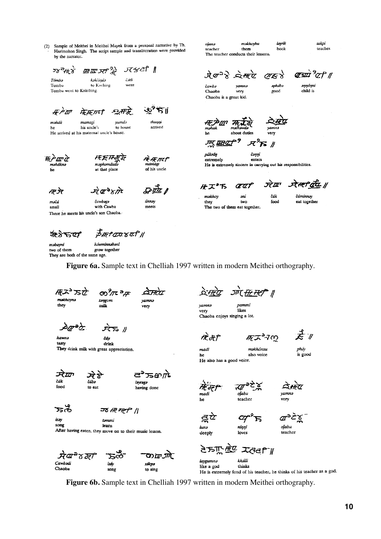(2) Sample of Meithei in Meithei Mayek from a personal narrative by Th. Harimohon Singh. The script sample and transliteration were provided by the narrator.

*四皿 저*?

kəköində

मेन्म ग्रही

mamag

He arrived at his maternal uncle's house.

his uncle's

to Kachine

ਸ਼ਿਅਟੀ ∥

فهن ٣Ï

thuŋŋi

arrived

r<del>ik</del> met

mamāei of his uncle

únnəy

meets

čáli

went

只形

to house

vum

*••• 天平不在* 

maphamdud.

at that place

takpi məkhoybu layrik oianə book teaches teacher them The teacher conducts their lessons

क्षाप्रप्रे <sup>9</sup>7 से 11  $\frac{1}{2}$   $\frac{1}{2}$   $\frac{1}{2}$   $\frac{1}{2}$   $\frac{1}{2}$   $\frac{1}{2}$   $\frac{1}{2}$   $\frac{1}{2}$   $\frac{1}{2}$   $\frac{1}{2}$   $\frac{1}{2}$   $\frac{1}{2}$   $\frac{1}{2}$   $\frac{1}{2}$   $\frac{1}{2}$   $\frac{1}{2}$   $\frac{1}{2}$   $\frac{1}{2}$   $\frac{1}{2}$   $\frac{1}{2}$   $\frac{1}{2}$   $\frac{1}{2}$   $\alpha$  $\approx$ 

əphábə

 $_{\rm good}$ 

čawbə vamn Chaoba very Chaoba is a great kid. *əŋŋáŋni*<br>child is

about duties

verv

ᠮ<sup>9.</sup> **JIIT IHZ** 

púknín **č**эŋŋі extremely enters He is extremely sincere in carrying out his responsibilities.

Æ.<del>À</del>

məčá

məháknə

he

 $58^{\circ}$ th $\overrightarrow{8}$ 

**FPW** 

məhák

he

Tomba went to Kakching

Támha

Tomba

 $\vec{x} \vec{\sigma}$ čawbəgə

with Cawba small There he meets his uncle's son Chaoba.

ज्टेष्ण जेम्म क्रि ॥ *RI*\*  $\alpha$ makhoy čák čáminnay əni two food eat together they The two of them eat together.

क्षेत्रे $\tau$ द $t$ 

 $\vec{B}$  Het  $\vec{C}$ ard  $\vec{C}$  //

məbayni háwminnəbəni two of them grow together They are both of the same age.

Figure 6a. Sample text in Chelliah 1997 written in modern Meithei orthography.

 $\#$ ユ $^{\circ}$ 了 makhoyna they

ලා හැ ව vaning very

 $\overrightarrow{R}$ hawn. čáy

tasty drink They drink milk with great appreciation.

čáb.

to ear

sangom

milk

ञ्चेष्ण čák food

நுறை layraga having done

ਨੱਫ਼ isay

ञ्छ*स*स् स्ट्री || tənimi

song learn After having eaten, they move on to their music lesson.



जगे <del>सा मन्दी</del> ॥ pammi

yamna very ikes Chaoba enjoys singing a lot.

சுசு∛ை

məkhónsu

also voice

३८४ू

 $\vec{z}$  1

madi he He also has a good voice.

स्रो क्री

pháy is good

म्हेम्नु  $\overline{\mathscr{C}}$  $o$ jabu madi teacher



 $\pi^{\mathsf{a}}$ ਕੂଫੇ ማ hma nínni deeply loves

சூ≥் ૪ olabu teacher



Figure 6b. Sample text in Chelliah 1997 written in modern Meithei orthography.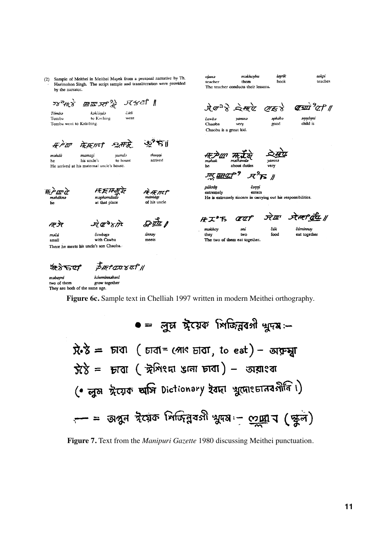(2) Sample of Meithei in Meithei Mayek from a personal narrative by Th. Harimohon Singh. The script sample and transliteration were provided by the narrator.

ojanə məkhovbu lavrik teacher them book The teacher conducts their lessons

takpi teaches

ਾਨ≼ਟੀ ∥  $58^{\circ}$ th  $\chi$ 四皿  $\mathcal{H}^2$ kəkčində Tómba čáli Tomba to Kaching went Tomba went to Kakching. ড়\*ষ∥ #P`III में:म्लामी  $-$ समि मत्त्रेण मत्रके thuŋŋi məhák yumdə mamagi to house arrived his uncle's he He arrived at his maternal uncle's house. <u> ज्ञार क्रमयारी ज</u>

<u>(अर्थमे <sup>9</sup>0 मध्य</u>  $\lambda \sigma^3 \lambda \approx \pi \alpha$   $\sigma \kappa \lambda$ 

 $\mathcal{H}^2$ ß $\#$ 

**č**эŋŋі

enters

He is extremely sincere in carrying out his responsibilities.

yamnə čawba Chaoba very Chaoba is a great kid.

əŋŋáŋni child is

aphába

good

邢卢亚之 .<br>məhákn he

*••• 天平不下* نه<br>ما*maphamdud* at that place

R:HTMLF of his uncle

मा जेर məčá



**Grad** únnəy meets

**#I™** ææf makhoy əni two they

The two of them eat together.

púknín

extremely

जेया ने म्हा वर्ध ॥ čák

food

čáminnəv eat together

small There he meets his uncle's son Chaoba.

क्षेत्रे $\tau$ त $r$ 

 $\vec{P}$  IR †  $ax$   $x$   $a$   $f$   $y$ 

háwminnabani məbayni grow together two of them They are both of the same age.

Figure 6c. Sample text in Chelliah 1997 written in modern Meithei orthography.

 $\bullet =$  লুম সুঁয়েক পিচ্চিন্নবগী খুদম:- $\vec{R} \cdot \vec{S}$  =  $\vec{D}$   $\vec{C}$  =  $\vec{C}$   $\vec{C}$  =  $\vec{C}$  =  $\vec{C}$   $\vec{C}$  =  $\vec{C}$   $\vec{C}$  =  $\vec{C}$   $\vec{C}$  =  $\vec{C}$   $\vec{C}$  =  $\vec{C}$   $\vec{C}$  =  $\vec{C}$   $\vec{C}$  =  $\vec{C}$   $\vec{C}$  =  $\vec{C}$   $\vec{C}$  =  $\vec{C}$   $\vec{C}$  $\hat{\chi}$ ें = म्राता ( ग्रेशिश्मा अला म्राता) – उद्माश्वा (• লুষ ঈয়েক অসি Dictionary ইবদা খুদোংচানবগীনি।) - = অপুন ইয়েক শিলিন্নবসী খুদম:- <u>com</u> d (জুল)

Figure 7. Text from the Manipuri Gazette 1980 discussing Meithei punctuation.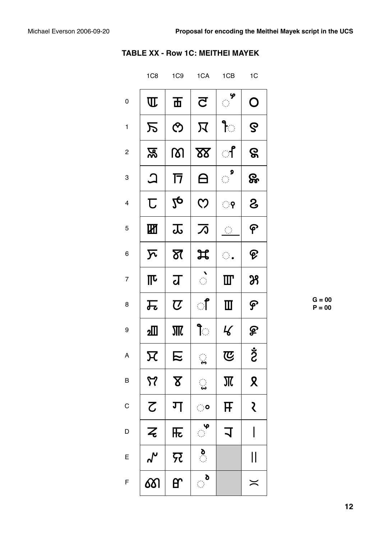|                         | 1C <sub>8</sub>            | 1C9                     | 1CA                         | 1CB                     | 1C                |
|-------------------------|----------------------------|-------------------------|-----------------------------|-------------------------|-------------------|
| 0                       | $\overline{\mathbf{u}}$    | 币                       | $\overline{\mathbf{C}}$     | ዎ                       | O                 |
| $\mathbf{1}$            | 万                          | $\mathcal{O}$           | 又                           | ी                       | ဇွ                |
| $\overline{\mathbf{c}}$ | 忍                          | ကျ                      | $\underline{\mathbf{X}}$    | ්                       | ဇွ                |
| 3                       | $\bm{\mathsf{\Omega}}$     | 17                      | <u>A</u>                    | $\mathbb{R}^2$          | &                 |
| 4                       | $\overline{\mathbb{C}}$    | $2\boldsymbol{\varphi}$ | $\mathcal{C}$               | ़़़9                    |                   |
| 5                       | 硱                          | 忑                       | 万                           | $\frac{1}{2}$           | ၉                 |
| 6                       | $\boldsymbol{\nabla}$      | স্ত                     | ヸ                           | $\mathbb{R}^2$          | ၉                 |
| $\overline{7}$          | ℼ                          | ग्र                     |                             | Ш                       | 29                |
| 8                       | 瓦                          | $\boldsymbol{U}$        | ऻऀ                          | $\blacksquare$          | န                 |
| 9                       | ച്                         |                         | ी                           | $\mathcal{L}$           | ௐ                 |
| А                       | 又                          | E                       | $\ddot{\bm{3}}$             | で                       | <b>S</b>          |
| B                       | $\boldsymbol{\mathcal{F}}$ | $\Delta$                | $\ddot{\ddot{\bm{\omega}}}$ | $\overline{\mathbf{M}}$ | $\mathbf{\Omega}$ |
| $\mathsf C$             | $\zeta$                    | ग                       | ं                           | F                       | रे                |
| D                       | $\overline{z}$             | 兏                       | ଼୍କ                         | $\overline{1}$          | I                 |
| E                       | ୷                          | 兄                       | $\sum_{i=1}^{n}$            |                         | $\mathsf{I}$      |
| F                       | <u>රා</u>                  | ᢡ                       | ै                           |                         | $\asymp$          |

|  | <b>TABLE XX - Row 1C: MEITHEI MAYEK</b> |  |  |  |
|--|-----------------------------------------|--|--|--|
|--|-----------------------------------------|--|--|--|

 $G = 00$  $P = 00$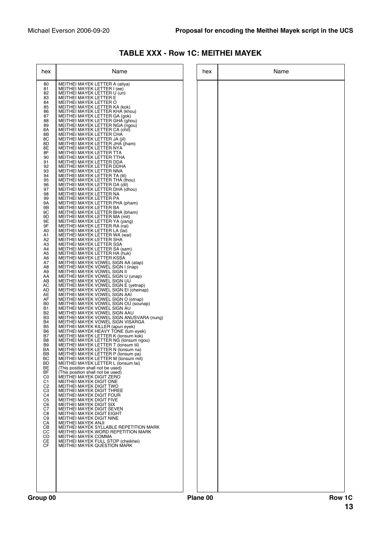| hex                                                                                                                                                                                                      | Name                                                                                                                                                                                                                                                                                                                                                                                                                                                                                                                                                                                                                                                                                                                                                                                                                                                                                                                            | hex | Name |
|----------------------------------------------------------------------------------------------------------------------------------------------------------------------------------------------------------|---------------------------------------------------------------------------------------------------------------------------------------------------------------------------------------------------------------------------------------------------------------------------------------------------------------------------------------------------------------------------------------------------------------------------------------------------------------------------------------------------------------------------------------------------------------------------------------------------------------------------------------------------------------------------------------------------------------------------------------------------------------------------------------------------------------------------------------------------------------------------------------------------------------------------------|-----|------|
| 80<br>81<br>82<br>83<br>84<br>85<br>86<br>87<br>88<br>89<br>8Α<br>8B<br>8C                                                                                                                               | MEITHEI MAYEK LETTER A (atiya)<br>MEITHEI MAYEK LETTER I (ee)<br>MEITHEI MAYEK LETTER U (un)<br>MEITHEI MAYEK LETTER E<br>MEITHEI MAYEK LETTER O<br>MEITHEI MAYEK LETTER KA (kok)<br>MEITHEI MAYEK LETTER KHA (khou)<br>MEITHEI MAYEK LETTER GA (gok)<br>MEITHEI MAYEK LETTER GHA (ghou)<br>MEITHEI MAYEK LETTER NGA (ngou)<br>MEITHEI MAYEK LETTER CA (chil)<br>MEITHEI MAYEK LETTER CHA<br>MEITHEI MAYEK LETTER JA (jil)                                                                                                                                                                                                                                                                                                                                                                                                                                                                                                      |     |      |
| 8D<br>8E<br>8F<br>90<br>91<br>92<br>93<br>94<br>95<br>96<br>97<br>98<br>99<br>9Α<br>9Β<br>9C<br>9D                                                                                                       | MEITHEI MAYEK LETTER JHA (jham)<br>MEITHEI MAYEK LETTER NYA<br>MEITHEI MAYEK LETTER TTA<br>MEITHEI MAYEK LETTER TTHA<br>MEITHEI MAYEK LETTER DDA<br>MEITHEI MAYEK LETTER DDHA<br>MEITHEI MAYEK LETTER NNA<br>MEITHEI MAYEK LETTER TA (til)<br>MEITHEI MAYEK LETTER THA (thou)<br>MEITHEI MAYEK LETTER DA (dil)<br>MEITHEI MAYEK LETTER DHA (dhou)<br>MEITHEI MAYEK LETTER NA<br>MEITHEI MAYEK LETTER PA<br>MEITHEI MAYEK LETTER PHA (pham)<br>MEITHEI MAYEK LETTER BA<br>MEITHEI MAYEK LETTER BHA (bham)<br>MEITHEI MAYEK LETTER MA (mit)                                                                                                                                                                                                                                                                                                                                                                                       |     |      |
| 9Ε<br>9F<br>A0<br>A1<br>A2<br>A3<br>A4<br>A5<br>A6<br>A7<br>A8<br>A9<br>AA<br>AB<br>АC<br>AD<br>AE<br>AF<br>B <sub>0</sub><br><b>B1</b>                                                                  | MEITHEI MAYEK LETTER YA (yang)<br>MEITHEI MAYEK LETTER RA (rai)<br>MEITHEI MAYEK LETTER LA (lai)<br>MEITHEI MAYEK LETTER WA (wai)<br>MEITHEI MAYEK LETTER SHA<br>MEITHEI MAYEK LETTER SSA<br>MEITHEI MAYEK LETTER SA (sam)<br>MEITHEI MAYEK LETTER HA (huk)<br>MEITHEI MAYEK LETTER KSSA<br>MEITHEI MAYEK VOWEL SIGN AA (atap)<br>MEITHEI MAYEK VOWEL SIGN I (inap)<br>MEITHEI MAYEK VOWEL SIGN II<br>MEITHEI MAYEK VOWEL SIGN U (unap)<br>MEITHEI MAYEK VOWEL SIGN UU<br>MEITHEI MAYEK VOWEL SIGN E (yetnap)<br>MEITHEI MAYEK VOWEL SIGN EI (cheinap)<br>MEITHEI MAYEK VOWEL SIGN AAI<br>MEITHEI MAYEK VOWEL SIGN O (otnap)<br>MEITHEI MAYEK VOWEL SIGN OU (sounap)<br>MEITHEI MAYEK VOWEL SIGN AU                                                                                                                                                                                                                             |     |      |
| B <sub>2</sub><br>B3<br>B4<br>B <sub>5</sub><br>B6<br>B7<br>B8<br>B9<br>BA<br>BB<br>BС<br>BD<br>BE<br>BF<br>C0<br>C1<br>C <sub>2</sub><br>C3<br>C <sub>4</sub><br>C5<br>C6<br>C7<br>C8<br>C9<br>CA<br>CВ | MEITHEI MAYEK VOWEL SIGN AAU<br>MEITHEI MAYEK VOWEL SIGN ANUSVARA (nung)<br>MEITHEI MAYEK VOWEL SIGN VISARGA<br>MEITHEI MAYEK KILLER (apun eyek)<br>MEITHEI MAYEK HEAVY TONE (lum eyek)<br>MEITHEI MAYEK LETTER K (lonsum kok)<br>MEITHEI MAYEK LETTER NG (Ionsum ngou)<br>MEITHEI MAYEK LETTER T (lonsum til)<br>MEITHEI MAYEK LETTER N (lonsum na)<br>MEITHEI MAYEK LETTER P (lonsum pa)<br>MEITHEI MAYEK LETTER M (lonsum mit)<br>MEITHEI MAYEK LETTER L (lonsum lai)<br>(This position shall not be used)<br>(This position shall not be used)<br>MEITHEI MAYEK DIGIT ZERO<br>MEITHEI MAYEK DIGIT ONE<br><b>MEITHEI MAYEK DIGIT TWO</b><br><b>MEITHEI MAYEK DIGIT THREE</b><br>MEITHEI MAYEK DIGIT FOUR<br>MEITHEI MAYEK DIGIT FIVE<br>MEITHEI MAYEK DIGIT SIX<br>MEITHEI MAYEK DIGIT SEVEN<br><b>MEITHEI MAYEK DIGIT EIGHT</b><br>MEITHEI MAYEK DIGIT NINE<br>MEITHEI MAYEK ANJI<br>MEITHEI MAYEK SYLLABLE REPETITION MARK |     |      |
| CC<br>CD<br>CE<br>CF                                                                                                                                                                                     | MEITHEI MAYEK WORD REPETITION MARK<br><b>MEITHEI MAYEK COMMA</b><br>MEITHEI MAYEK FULL STOP (cheikhei)<br>MEITHEI MAYEK QUESTION MARK                                                                                                                                                                                                                                                                                                                                                                                                                                                                                                                                                                                                                                                                                                                                                                                           |     |      |

# **TABLE XXX - Row 1C: MEITHEI MAYEK**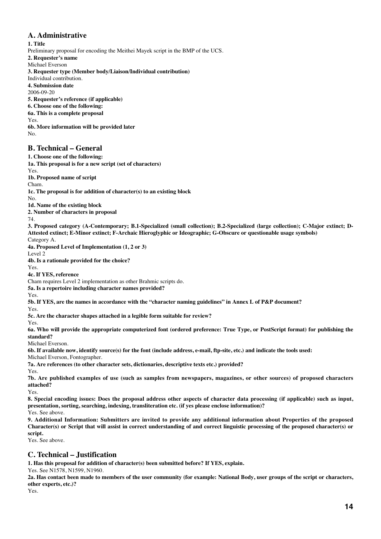# **A. Administrative**

**1. Title**

Preliminary proposal for encoding the Meithei Mayek script in the BMP of the UCS.

**2. Requester's name**

Michael Everson

**3. Requester type (Member body/Liaison/Individual contribution)**

Individual contribution.

**4. Submission date**

2006-09-20

**5. Requester's reference (if applicable)**

**6. Choose one of the following:**

**6a. This is a complete proposal**

Yes.

**6b. More information will be provided later** No.

#### **B. Technical – General**

**1. Choose one of the following:**

**1a. This proposal is for a new script (set of characters)**

Yes.

**1b. Proposed name of script**

Cham.

**1c. The proposal is for addition of character(s) to an existing block**

 $N<sub>0</sub>$ 

**1d. Name of the existing block**

**2. Number of characters in proposal**

74.

**3. Proposed category (A-Contemporary; B.1-Specialized (small collection); B.2-Specialized (large collection); C-Major extinct; D-Attested extinct; E-Minor extinct; F-Archaic Hieroglyphic or Ideographic; G-Obscure or questionable usage symbols)**

Category A.

**4a. Proposed Level of Implementation (1, 2 or 3)**

Level 2

**4b. Is a rationale provided for the choice?**

Yes. **4c. If YES, reference**

Cham requires Level 2 implementation as other Brahmic scripts do.

**5a. Is a repertoire including character names provided?**

Yes.

**5b. If YES, are the names in accordance with the "character naming guidelines" in Annex L of P&P document?**

Yes. **5c. Are the character shapes attached in a legible form suitable for review?**

Yes.

**6a. Who will provide the appropriate computerized font (ordered preference: True Type, or PostScript format) for publishing the standard?**

Michael Everson.

**6b. If available now, identify source(s) for the font (include address, e-mail, ftp-site, etc.) and indicate the tools used:**

Michael Everson, Fontographer.

**7a. Are references (to other character sets, dictionaries, descriptive texts etc.) provided?**

Yes.

**7b. Are published examples of use (such as samples from newspapers, magazines, or other sources) of proposed characters attached?**

Yes.

**8. Special encoding issues: Does the proposal address other aspects of character data processing (if applicable) such as input, presentation, sorting, searching, indexing, transliteration etc. (if yes please enclose information)?**

Yes. See above.

**9. Additional Information: Submitters are invited to provide any additional information about Properties of the proposed Character(s) or Script that will assist in correct understanding of and correct linguistic processing of the proposed character(s) or script.**

Yes. See above.

# **C. Technical – Justification**

**1. Has this proposal for addition of character(s) been submitted before? If YES, explain.**

Yes. See N1578, N1599, N1960.

**2a. Has contact been made to members of the user community (for example: National Body, user groups of the script or characters, other experts, etc.)?**

Yes.